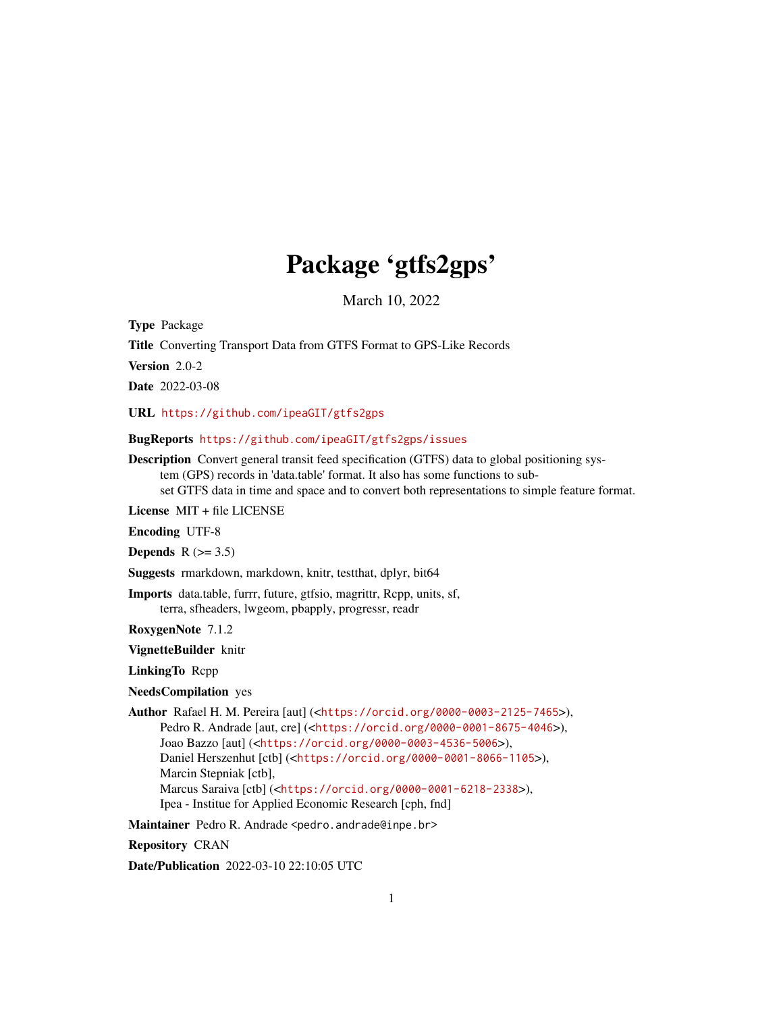## Package 'gtfs2gps'

March 10, 2022

Type Package

Title Converting Transport Data from GTFS Format to GPS-Like Records

Version 2.0-2

Date 2022-03-08

URL <https://github.com/ipeaGIT/gtfs2gps>

BugReports <https://github.com/ipeaGIT/gtfs2gps/issues>

Description Convert general transit feed specification (GTFS) data to global positioning system (GPS) records in 'data.table' format. It also has some functions to subset GTFS data in time and space and to convert both representations to simple feature format.

License MIT + file LICENSE

Encoding UTF-8

Depends  $R$  ( $> = 3.5$ )

Suggests rmarkdown, markdown, knitr, testthat, dplyr, bit64

Imports data.table, furrr, future, gtfsio, magrittr, Rcpp, units, sf, terra, sfheaders, lwgeom, pbapply, progressr, readr

RoxygenNote 7.1.2

VignetteBuilder knitr

LinkingTo Rcpp

NeedsCompilation yes

Author Rafael H. M. Pereira [aut] (<<https://orcid.org/0000-0003-2125-7465>>), Pedro R. Andrade [aut, cre] (<<https://orcid.org/0000-0001-8675-4046>>), Joao Bazzo [aut] (<<https://orcid.org/0000-0003-4536-5006>>), Daniel Herszenhut [ctb] (<<https://orcid.org/0000-0001-8066-1105>>), Marcin Stepniak [ctb], Marcus Saraiva [ctb] (<<https://orcid.org/0000-0001-6218-2338>>), Ipea - Institue for Applied Economic Research [cph, fnd]

Maintainer Pedro R. Andrade <pedro.andrade@inpe.br>

Repository CRAN

Date/Publication 2022-03-10 22:10:05 UTC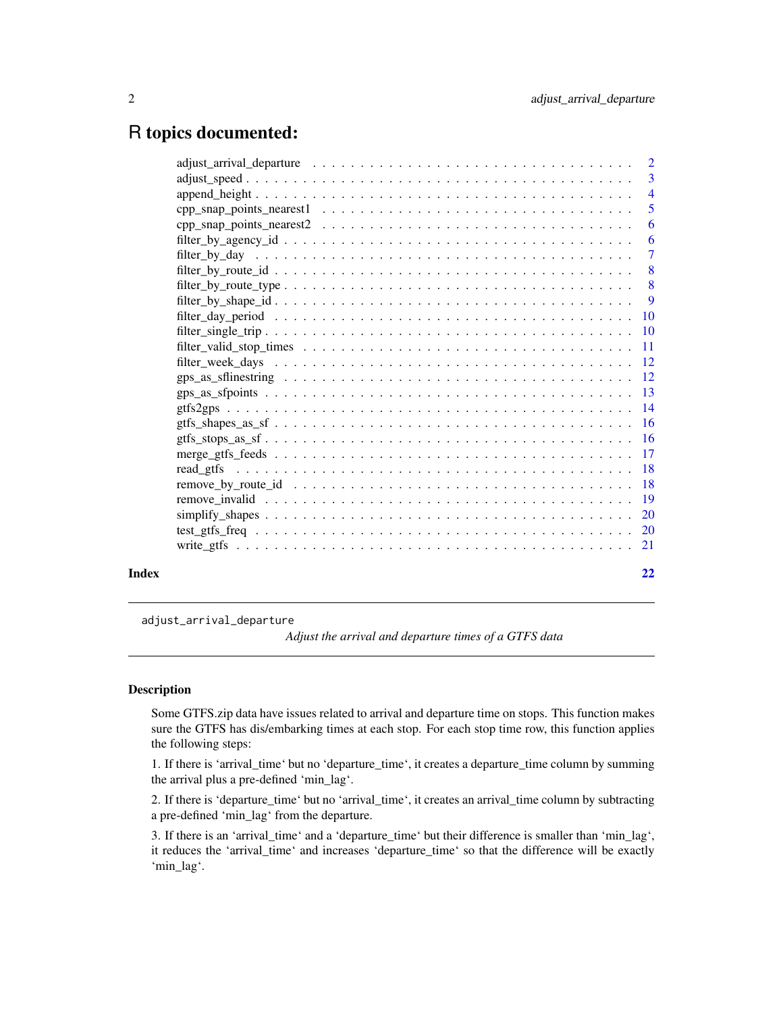## <span id="page-1-0"></span>R topics documented:

|       | 6  |
|-------|----|
|       |    |
|       |    |
|       |    |
|       |    |
|       |    |
|       |    |
|       |    |
|       |    |
|       |    |
|       |    |
|       |    |
|       |    |
|       |    |
|       |    |
|       |    |
|       |    |
|       |    |
|       |    |
|       |    |
|       |    |
|       |    |
| Index | 22 |

adjust\_arrival\_departure

*Adjust the arrival and departure times of a GTFS data*

## Description

Some GTFS.zip data have issues related to arrival and departure time on stops. This function makes sure the GTFS has dis/embarking times at each stop. For each stop time row, this function applies the following steps:

1. If there is 'arrival\_time' but no 'departure\_time', it creates a departure\_time column by summing the arrival plus a pre-defined 'min\_lag'.

2. If there is 'departure\_time' but no 'arrival\_time', it creates an arrival\_time column by subtracting a pre-defined 'min\_lag' from the departure.

3. If there is an 'arrival\_time' and a 'departure\_time' but their difference is smaller than 'min\_lag', it reduces the 'arrival\_time' and increases 'departure\_time' so that the difference will be exactly 'min\_lag'.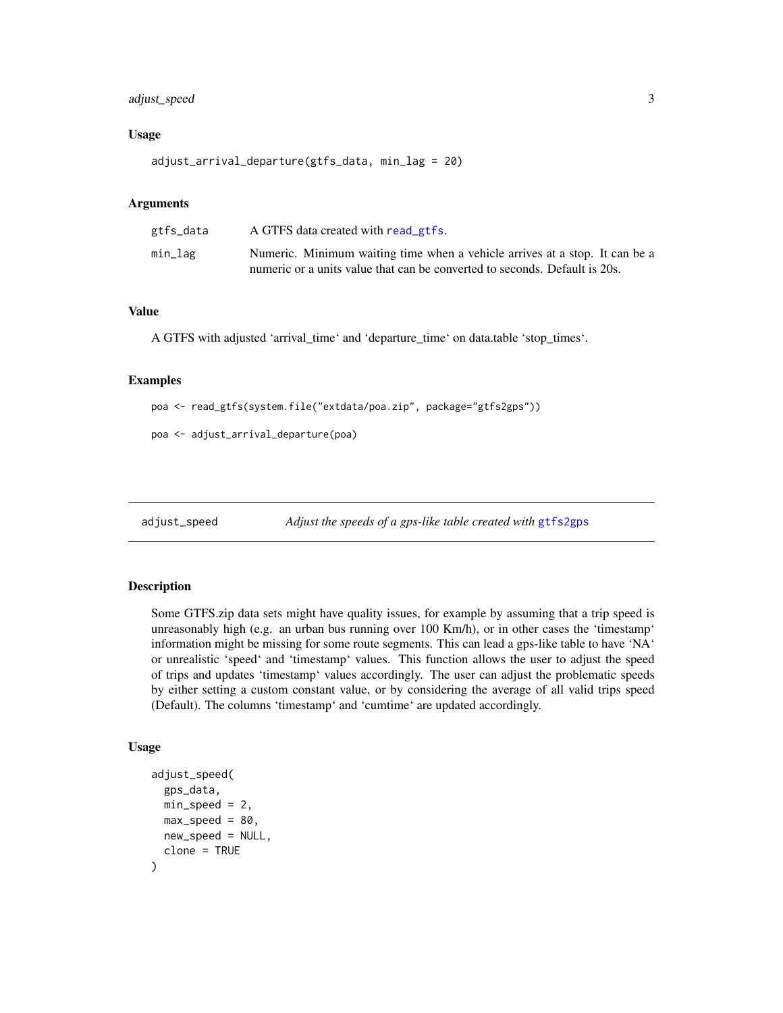## <span id="page-2-0"></span>adjust\_speed 3

#### Usage

adjust\_arrival\_departure(gtfs\_data, min\_lag = 20)

## Arguments

| gtfs_data | A GTFS data created with read gtfs.                                         |
|-----------|-----------------------------------------------------------------------------|
| min_lag   | Numeric. Minimum waiting time when a vehicle arrives at a stop. It can be a |
|           | numeric or a units value that can be converted to seconds. Default is 20s.  |

## Value

A GTFS with adjusted 'arrival\_time' and 'departure\_time' on data.table 'stop\_times'.

#### Examples

```
poa <- read_gtfs(system.file("extdata/poa.zip", package="gtfs2gps"))
```

```
poa <- adjust_arrival_departure(poa)
```
adjust\_speed *Adjust the speeds of a gps-like table created with* [gtfs2gps](#page-13-1)

#### Description

Some GTFS.zip data sets might have quality issues, for example by assuming that a trip speed is unreasonably high (e.g. an urban bus running over 100 Km/h), or in other cases the 'timestamp' information might be missing for some route segments. This can lead a gps-like table to have 'NA' or unrealistic 'speed' and 'timestamp' values. This function allows the user to adjust the speed of trips and updates 'timestamp' values accordingly. The user can adjust the problematic speeds by either setting a custom constant value, or by considering the average of all valid trips speed (Default). The columns 'timestamp' and 'cumtime' are updated accordingly.

#### Usage

```
adjust_speed(
  gps_data,
 min\_speed = 2,max\_speed = 80.
 new_speed = NULL,
  clone = TRUE
)
```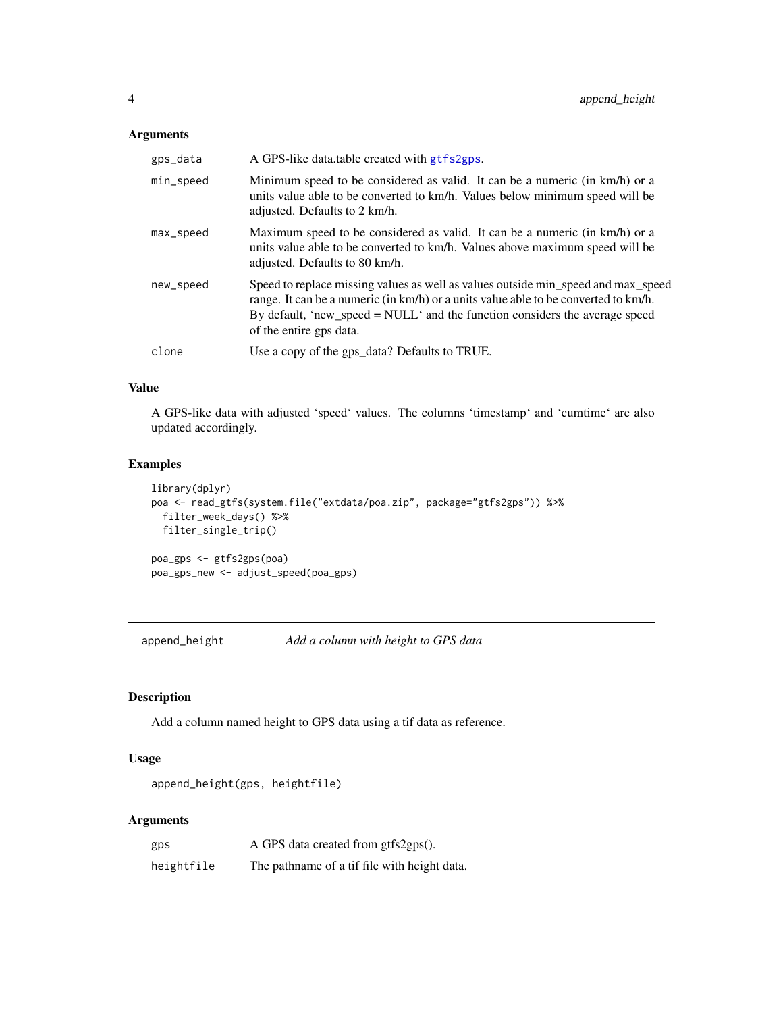## <span id="page-3-0"></span>Arguments

| gps_data  | A GPS-like data.table created with gtfs2gps.                                                                                                                                                                                                                                       |
|-----------|------------------------------------------------------------------------------------------------------------------------------------------------------------------------------------------------------------------------------------------------------------------------------------|
| min_speed | Minimum speed to be considered as valid. It can be a numeric (in km/h) or a<br>units value able to be converted to km/h. Values below minimum speed will be<br>adjusted. Defaults to 2 km/h.                                                                                       |
| max_speed | Maximum speed to be considered as valid. It can be a numeric (in km/h) or a<br>units value able to be converted to km/h. Values above maximum speed will be<br>adjusted. Defaults to 80 km/h.                                                                                      |
| new_speed | Speed to replace missing values as well as values outside min_speed and max_speed<br>range. It can be a numeric (in km/h) or a units value able to be converted to km/h.<br>By default, 'new_speed = NULL' and the function considers the average speed<br>of the entire gps data. |
| clone     | Use a copy of the gps_data? Defaults to TRUE.                                                                                                                                                                                                                                      |

## Value

A GPS-like data with adjusted 'speed' values. The columns 'timestamp' and 'cumtime' are also updated accordingly.

## Examples

```
library(dplyr)
poa <- read_gtfs(system.file("extdata/poa.zip", package="gtfs2gps")) %>%
 filter_week_days() %>%
 filter_single_trip()
poa_gps <- gtfs2gps(poa)
poa_gps_new <- adjust_speed(poa_gps)
```
append\_height *Add a column with height to GPS data*

## Description

Add a column named height to GPS data using a tif data as reference.

## Usage

```
append_height(gps, heightfile)
```

| gps        | A GPS data created from gtfs2gps().          |
|------------|----------------------------------------------|
| heightfile | The pathname of a tif file with height data. |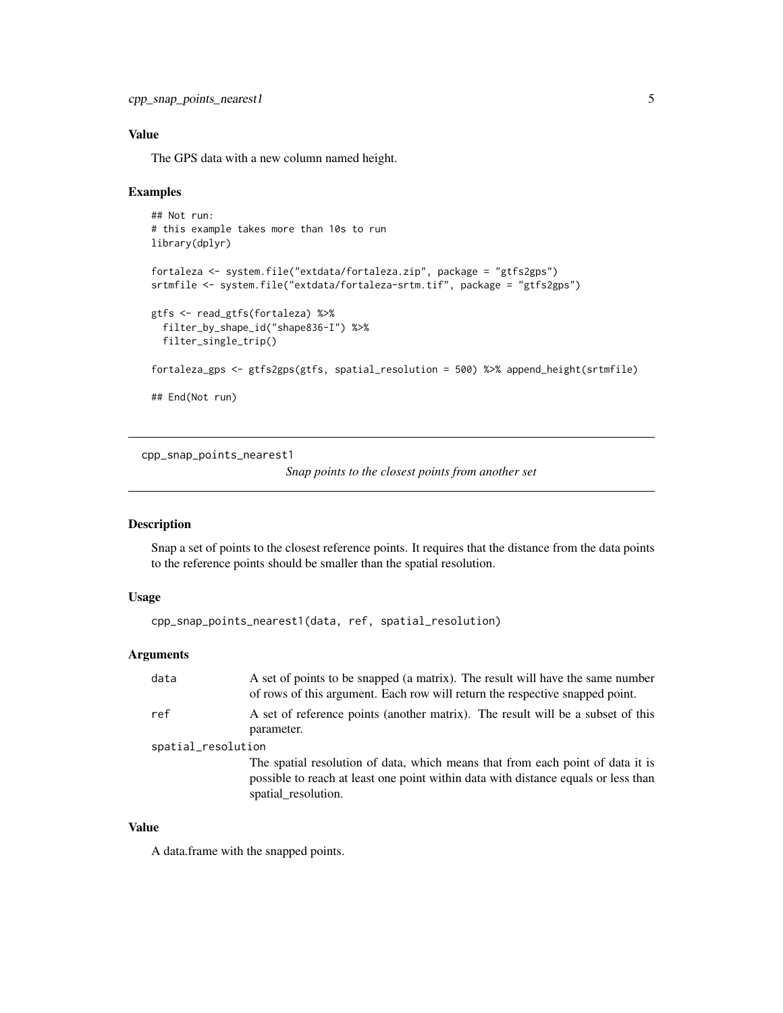## <span id="page-4-0"></span>Value

The GPS data with a new column named height.

#### Examples

```
## Not run:
# this example takes more than 10s to run
library(dplyr)
fortaleza <- system.file("extdata/fortaleza.zip", package = "gtfs2gps")
srtmfile <- system.file("extdata/fortaleza-srtm.tif", package = "gtfs2gps")
gtfs <- read_gtfs(fortaleza) %>%
  filter_by_shape_id("shape836-I") %>%
  filter_single_trip()
fortaleza_gps <- gtfs2gps(gtfs, spatial_resolution = 500) %>% append_height(srtmfile)
## End(Not run)
```
cpp\_snap\_points\_nearest1

*Snap points to the closest points from another set*

## Description

Snap a set of points to the closest reference points. It requires that the distance from the data points to the reference points should be smaller than the spatial resolution.

## Usage

```
cpp_snap_points_nearest1(data, ref, spatial_resolution)
```
## Arguments

| data               | A set of points to be snapped (a matrix). The result will have the same number<br>of rows of this argument. Each row will return the respective snapped point.                              |  |
|--------------------|---------------------------------------------------------------------------------------------------------------------------------------------------------------------------------------------|--|
| ref                | A set of reference points (another matrix). The result will be a subset of this<br>parameter.                                                                                               |  |
| spatial_resolution |                                                                                                                                                                                             |  |
|                    | The spatial resolution of data, which means that from each point of data it is<br>possible to reach at least one point within data with distance equals or less than<br>spatial_resolution. |  |

#### Value

A data.frame with the snapped points.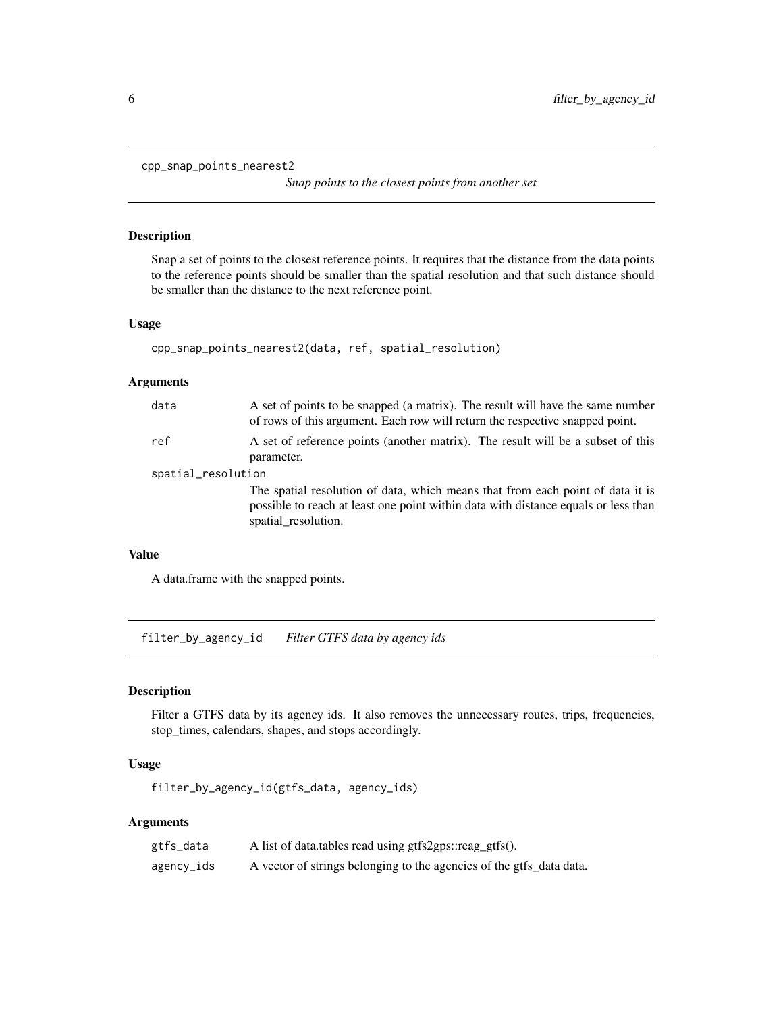```
cpp_snap_points_nearest2
```
*Snap points to the closest points from another set*

## Description

Snap a set of points to the closest reference points. It requires that the distance from the data points to the reference points should be smaller than the spatial resolution and that such distance should be smaller than the distance to the next reference point.

## Usage

```
cpp_snap_points_nearest2(data, ref, spatial_resolution)
```
#### Arguments

| data               | A set of points to be snapped (a matrix). The result will have the same number<br>of rows of this argument. Each row will return the respective snapped point.                              |  |
|--------------------|---------------------------------------------------------------------------------------------------------------------------------------------------------------------------------------------|--|
| ref                | A set of reference points (another matrix). The result will be a subset of this<br>parameter.                                                                                               |  |
| spatial_resolution |                                                                                                                                                                                             |  |
|                    | The spatial resolution of data, which means that from each point of data it is<br>possible to reach at least one point within data with distance equals or less than<br>spatial resolution. |  |

#### Value

A data.frame with the snapped points.

filter\_by\_agency\_id *Filter GTFS data by agency ids*

## Description

Filter a GTFS data by its agency ids. It also removes the unnecessary routes, trips, frequencies, stop\_times, calendars, shapes, and stops accordingly.

## Usage

filter\_by\_agency\_id(gtfs\_data, agency\_ids)

| gtfs_data  | A list of data.tables read using gtfs2gps::reag_gtfs().              |
|------------|----------------------------------------------------------------------|
| agency_ids | A vector of strings belonging to the agencies of the gtfs_data data. |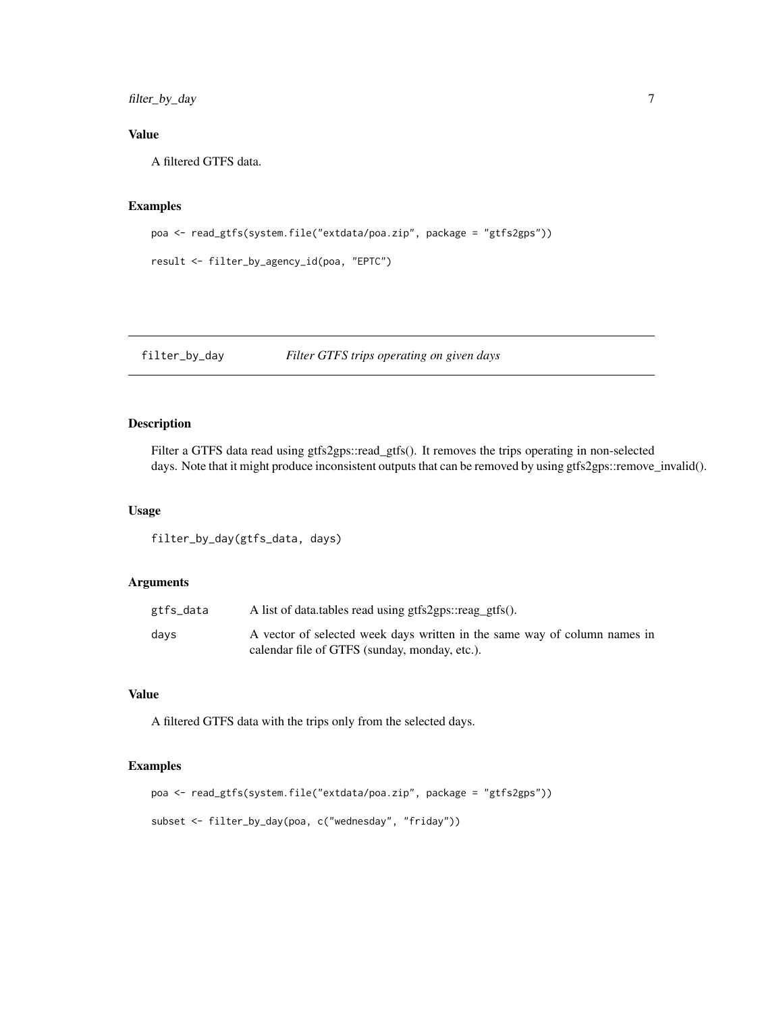<span id="page-6-0"></span>filter\_by\_day 7

## Value

A filtered GTFS data.

## Examples

```
poa <- read_gtfs(system.file("extdata/poa.zip", package = "gtfs2gps"))
```

```
result <- filter_by_agency_id(poa, "EPTC")
```
filter\_by\_day *Filter GTFS trips operating on given days*

## Description

Filter a GTFS data read using gtfs2gps::read\_gtfs(). It removes the trips operating in non-selected days. Note that it might produce inconsistent outputs that can be removed by using gtfs2gps::remove\_invalid().

## Usage

filter\_by\_day(gtfs\_data, days)

## Arguments

| gtfs_data | A list of data.tables read using gtfs2gps::reag_gtfs().                                                                    |
|-----------|----------------------------------------------------------------------------------------------------------------------------|
| davs      | A vector of selected week days written in the same way of column names in<br>calendar file of GTFS (sunday, monday, etc.). |

#### Value

A filtered GTFS data with the trips only from the selected days.

```
poa <- read_gtfs(system.file("extdata/poa.zip", package = "gtfs2gps"))
subset <- filter_by_day(poa, c("wednesday", "friday"))
```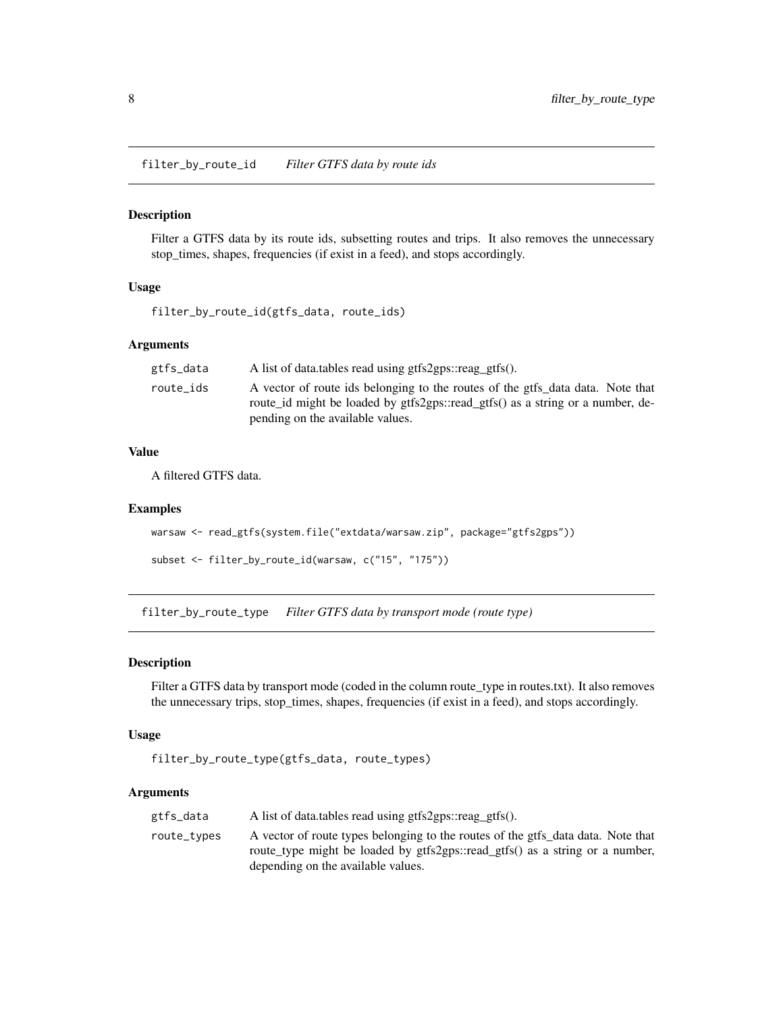<span id="page-7-0"></span>filter\_by\_route\_id *Filter GTFS data by route ids*

#### Description

Filter a GTFS data by its route ids, subsetting routes and trips. It also removes the unnecessary stop\_times, shapes, frequencies (if exist in a feed), and stops accordingly.

## Usage

```
filter_by_route_id(gtfs_data, route_ids)
```
## Arguments

| gtfs_data | A list of data.tables read using gtfs2gps::reag_gtfs().                                                                                                          |
|-----------|------------------------------------------------------------------------------------------------------------------------------------------------------------------|
| route_ids | A vector of route ids belonging to the routes of the gtfs data data. Note that<br>route id might be loaded by gtfs2gps::read gtfs() as a string or a number, de- |
|           | pending on the available values.                                                                                                                                 |

## Value

A filtered GTFS data.

#### Examples

```
warsaw <- read_gtfs(system.file("extdata/warsaw.zip", package="gtfs2gps"))
```

```
subset <- filter_by_route_id(warsaw, c("15", "175"))
```
filter\_by\_route\_type *Filter GTFS data by transport mode (route type)*

#### Description

Filter a GTFS data by transport mode (coded in the column route\_type in routes.txt). It also removes the unnecessary trips, stop\_times, shapes, frequencies (if exist in a feed), and stops accordingly.

#### Usage

```
filter_by_route_type(gtfs_data, route_types)
```

| gtfs_data   | A list of data.tables read using gtfs2gps::reag_gtfs().                                                                                                                                                |
|-------------|--------------------------------------------------------------------------------------------------------------------------------------------------------------------------------------------------------|
| route_types | A vector of route types belonging to the routes of the gtfs data data. Note that<br>route_type might be loaded by gtfs2gps::read_gtfs() as a string or a number,<br>depending on the available values. |
|             |                                                                                                                                                                                                        |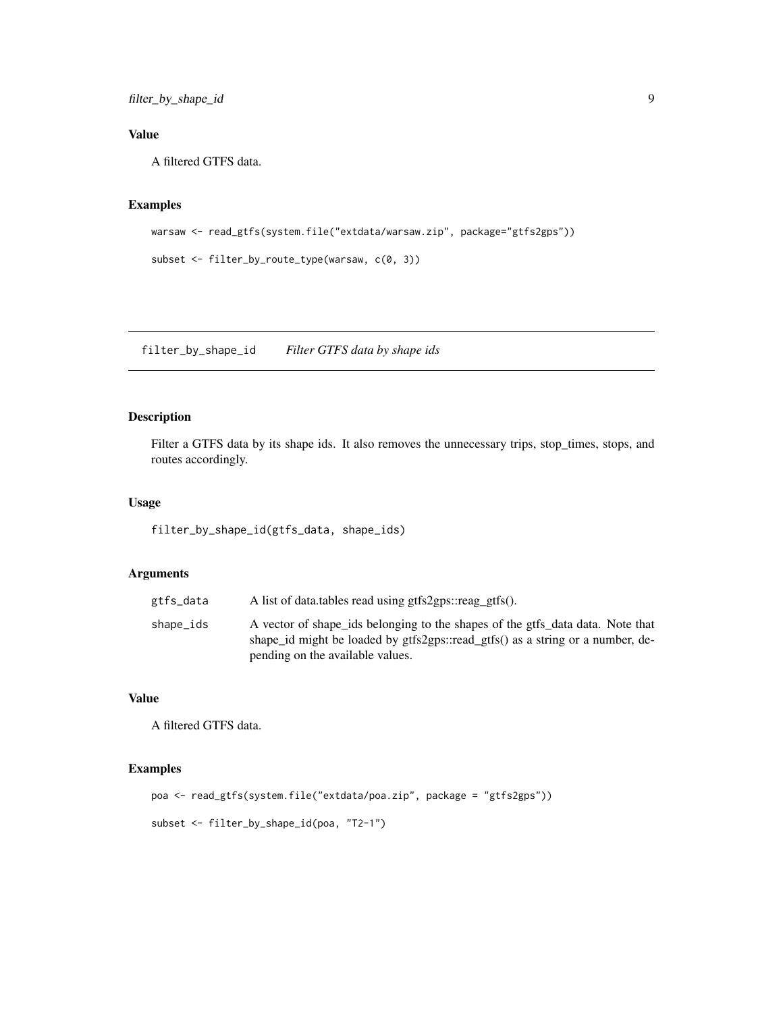## <span id="page-8-0"></span>Value

A filtered GTFS data.

## Examples

```
warsaw <- read_gtfs(system.file("extdata/warsaw.zip", package="gtfs2gps"))
```

```
subset <- filter_by_route_type(warsaw, c(0, 3))
```
filter\_by\_shape\_id *Filter GTFS data by shape ids*

## Description

Filter a GTFS data by its shape ids. It also removes the unnecessary trips, stop\_times, stops, and routes accordingly.

#### Usage

filter\_by\_shape\_id(gtfs\_data, shape\_ids)

## Arguments

| gtfs_data | A list of data.tables read using gtfs2gps::reag_gtfs().                                                                                                                                              |
|-----------|------------------------------------------------------------------------------------------------------------------------------------------------------------------------------------------------------|
| shape_ids | A vector of shape ids belonging to the shapes of the gtfs data data. Note that<br>shape id might be loaded by gtfs2gps::read_gtfs() as a string or a number, de-<br>pending on the available values. |

## Value

A filtered GTFS data.

```
poa <- read_gtfs(system.file("extdata/poa.zip", package = "gtfs2gps"))
subset <- filter_by_shape_id(poa, "T2-1")
```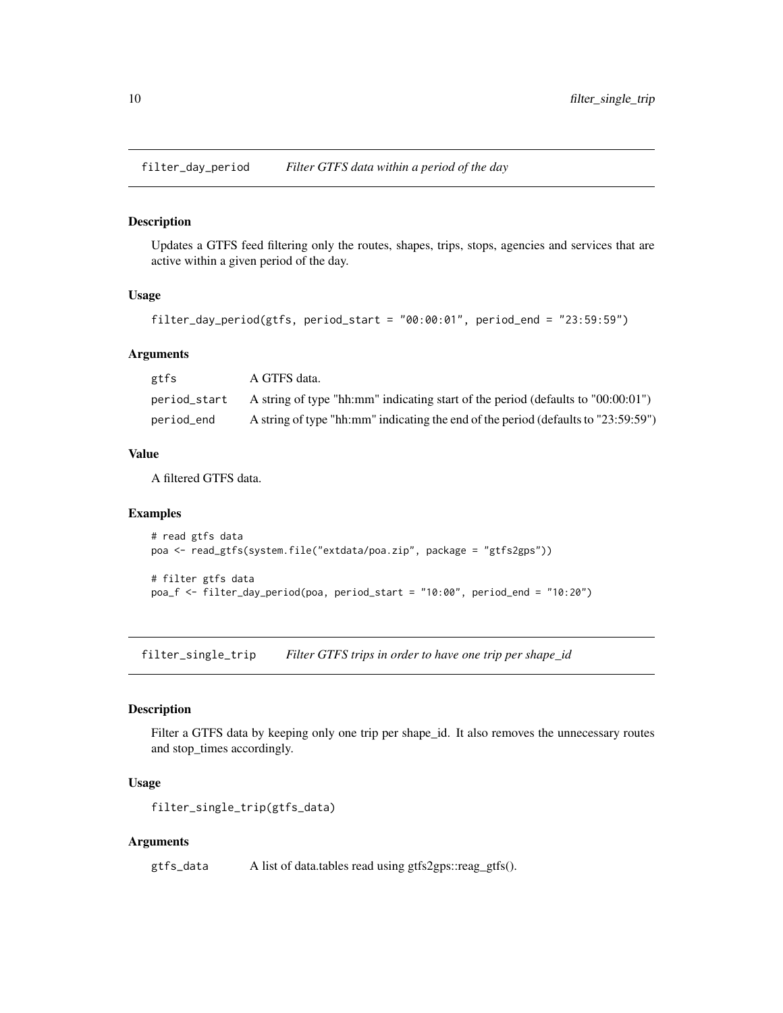<span id="page-9-0"></span>filter\_day\_period *Filter GTFS data within a period of the day*

#### Description

Updates a GTFS feed filtering only the routes, shapes, trips, stops, agencies and services that are active within a given period of the day.

## Usage

```
filter_day_period(gtfs, period_start = "00:00:01", period_end = "23:59:59")
```
#### Arguments

| gtfs         | A GTFS data.                                                                         |
|--------------|--------------------------------------------------------------------------------------|
| period_start | A string of type "hh:mm" indicating start of the period (defaults to $0.00(0.01)$ ") |
| period_end   | A string of type "hh:mm" indicating the end of the period (defaults to "23:59:59")   |

## Value

A filtered GTFS data.

## Examples

```
# read gtfs data
poa <- read_gtfs(system.file("extdata/poa.zip", package = "gtfs2gps"))
# filter gtfs data
poa_f <- filter_day_period(poa, period_start = "10:00", period_end = "10:20")
```
filter\_single\_trip *Filter GTFS trips in order to have one trip per shape\_id*

#### Description

Filter a GTFS data by keeping only one trip per shape\_id. It also removes the unnecessary routes and stop\_times accordingly.

#### Usage

```
filter_single_trip(gtfs_data)
```
#### Arguments

gtfs\_data A list of data.tables read using gtfs2gps::reag\_gtfs().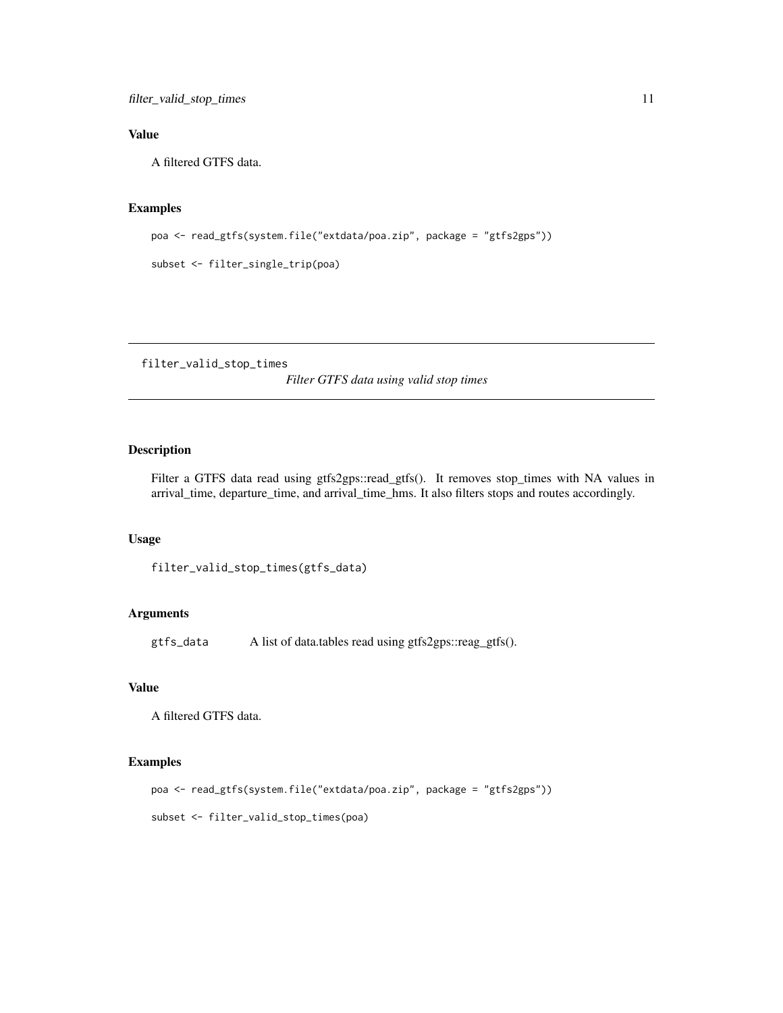## <span id="page-10-0"></span>Value

A filtered GTFS data.

#### Examples

```
poa <- read_gtfs(system.file("extdata/poa.zip", package = "gtfs2gps"))
```

```
subset <- filter_single_trip(poa)
```
filter\_valid\_stop\_times

*Filter GTFS data using valid stop times*

## Description

Filter a GTFS data read using gtfs2gps::read\_gtfs(). It removes stop\_times with NA values in arrival\_time, departure\_time, and arrival\_time\_hms. It also filters stops and routes accordingly.

#### Usage

```
filter_valid_stop_times(gtfs_data)
```
#### Arguments

gtfs\_data A list of data.tables read using gtfs2gps::reag\_gtfs().

## Value

A filtered GTFS data.

## Examples

```
poa <- read_gtfs(system.file("extdata/poa.zip", package = "gtfs2gps"))
```
subset <- filter\_valid\_stop\_times(poa)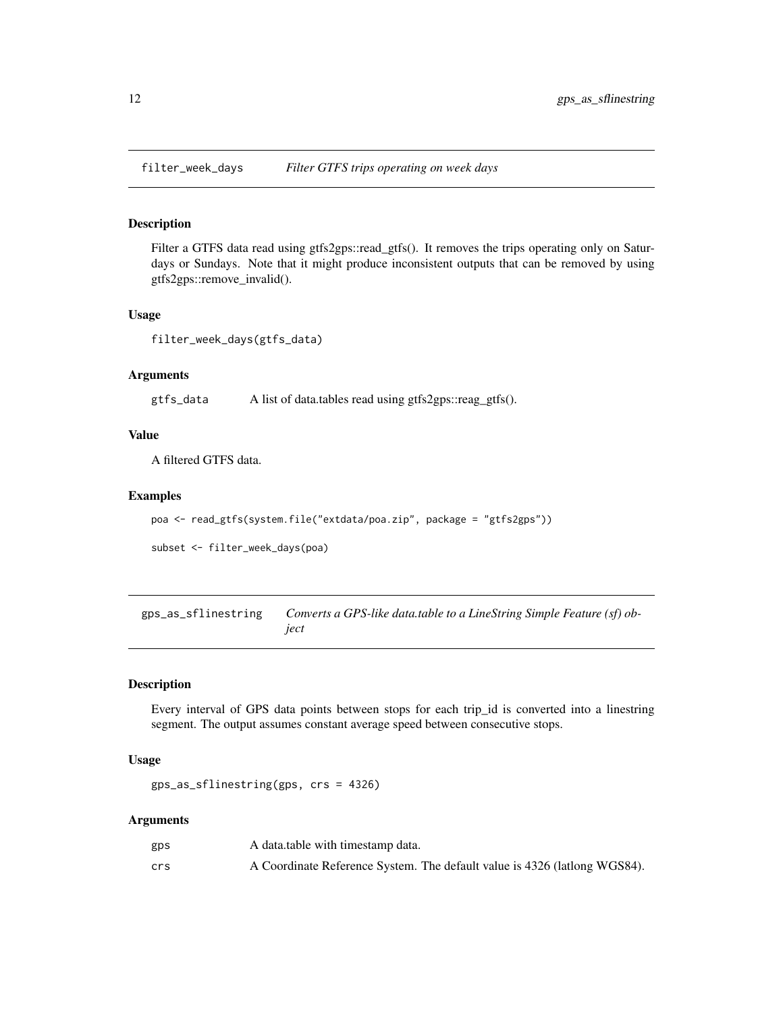<span id="page-11-0"></span>

## Description

Filter a GTFS data read using gtfs2gps::read\_gtfs(). It removes the trips operating only on Saturdays or Sundays. Note that it might produce inconsistent outputs that can be removed by using gtfs2gps::remove\_invalid().

#### Usage

filter\_week\_days(gtfs\_data)

#### Arguments

gtfs\_data A list of data.tables read using gtfs2gps::reag\_gtfs().

## Value

A filtered GTFS data.

#### Examples

```
poa <- read_gtfs(system.file("extdata/poa.zip", package = "gtfs2gps"))
```
subset <- filter\_week\_days(poa)

gps\_as\_sflinestring *Converts a GPS-like data.table to a LineString Simple Feature (sf) object*

## Description

Every interval of GPS data points between stops for each trip\_id is converted into a linestring segment. The output assumes constant average speed between consecutive stops.

## Usage

gps\_as\_sflinestring(gps, crs = 4326)

| gps | A data table with timestamp data.                                         |
|-----|---------------------------------------------------------------------------|
| crs | A Coordinate Reference System. The default value is 4326 (lationg WGS84). |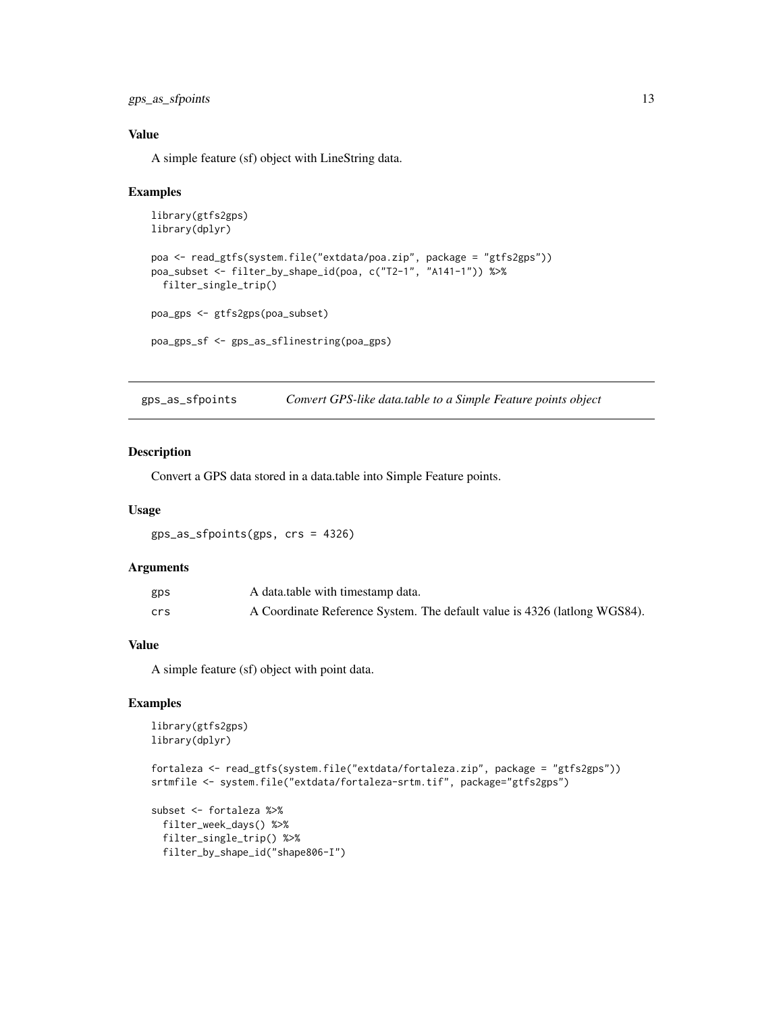<span id="page-12-0"></span>gps\_as\_sfpoints 13

## Value

A simple feature (sf) object with LineString data.

#### Examples

```
library(gtfs2gps)
library(dplyr)
poa <- read_gtfs(system.file("extdata/poa.zip", package = "gtfs2gps"))
poa_subset <- filter_by_shape_id(poa, c("T2-1", "A141-1")) %>%
  filter_single_trip()
poa_gps <- gtfs2gps(poa_subset)
poa_gps_sf <- gps_as_sflinestring(poa_gps)
```
gps\_as\_sfpoints *Convert GPS-like data.table to a Simple Feature points object*

#### Description

Convert a GPS data stored in a data.table into Simple Feature points.

#### Usage

gps\_as\_sfpoints(gps, crs = 4326)

#### Arguments

| gps | A data table with timestamp data.                                         |
|-----|---------------------------------------------------------------------------|
| crs | A Coordinate Reference System. The default value is 4326 (lationg WGS84). |

#### Value

A simple feature (sf) object with point data.

```
library(gtfs2gps)
library(dplyr)
```

```
fortaleza <- read_gtfs(system.file("extdata/fortaleza.zip", package = "gtfs2gps"))
srtmfile <- system.file("extdata/fortaleza-srtm.tif", package="gtfs2gps")
```

```
subset <- fortaleza %>%
 filter_week_days() %>%
 filter_single_trip() %>%
 filter_by_shape_id("shape806-I")
```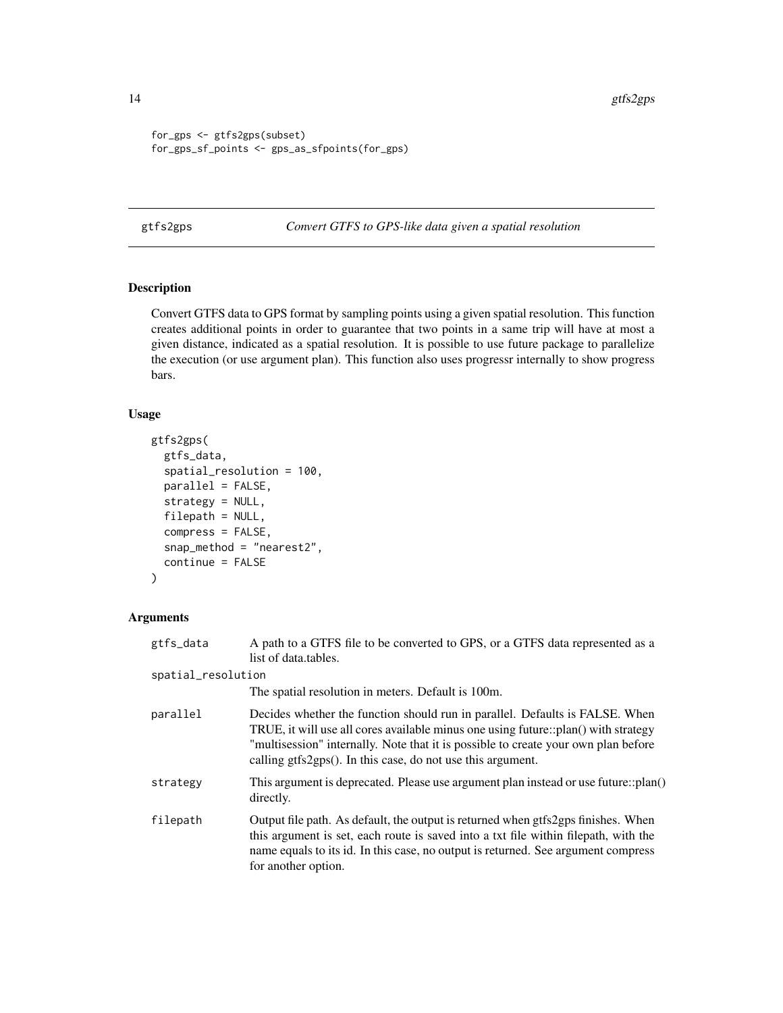```
for_gps <- gtfs2gps(subset)
for_gps_sf_points <- gps_as_sfpoints(for_gps)
```
<span id="page-13-1"></span>gtfs2gps *Convert GTFS to GPS-like data given a spatial resolution*

## Description

Convert GTFS data to GPS format by sampling points using a given spatial resolution. This function creates additional points in order to guarantee that two points in a same trip will have at most a given distance, indicated as a spatial resolution. It is possible to use future package to parallelize the execution (or use argument plan). This function also uses progressr internally to show progress bars.

## Usage

```
gtfs2gps(
  gtfs_data,
  spatial_resolution = 100,
  parallel = FALSE,
  strategy = NULL,
  filepath = NULL,
  compress = FALSE,
  snap_method = "nearest2",
  continue = FALSE
)
```

| gtfs_data          | A path to a GTFS file to be converted to GPS, or a GTFS data represented as a<br>list of data.tables.                                                                                                                                                                                                                      |
|--------------------|----------------------------------------------------------------------------------------------------------------------------------------------------------------------------------------------------------------------------------------------------------------------------------------------------------------------------|
| spatial_resolution |                                                                                                                                                                                                                                                                                                                            |
|                    | The spatial resolution in meters. Default is 100m.                                                                                                                                                                                                                                                                         |
| parallel           | Decides whether the function should run in parallel. Defaults is FALSE. When<br>TRUE, it will use all cores available minus one using future::plan() with strategy<br>"multisession" internally. Note that it is possible to create your own plan before<br>calling $gtfs2gps()$ . In this case, do not use this argument. |
| strategy           | This argument is deprecated. Please use argument plan instead or use future::plan()<br>directly.                                                                                                                                                                                                                           |
| filepath           | Output file path. As default, the output is returned when gtfs2gps finishes. When<br>this argument is set, each route is saved into a txt file within filepath, with the<br>name equals to its id. In this case, no output is returned. See argument compress<br>for another option.                                       |

<span id="page-13-0"></span>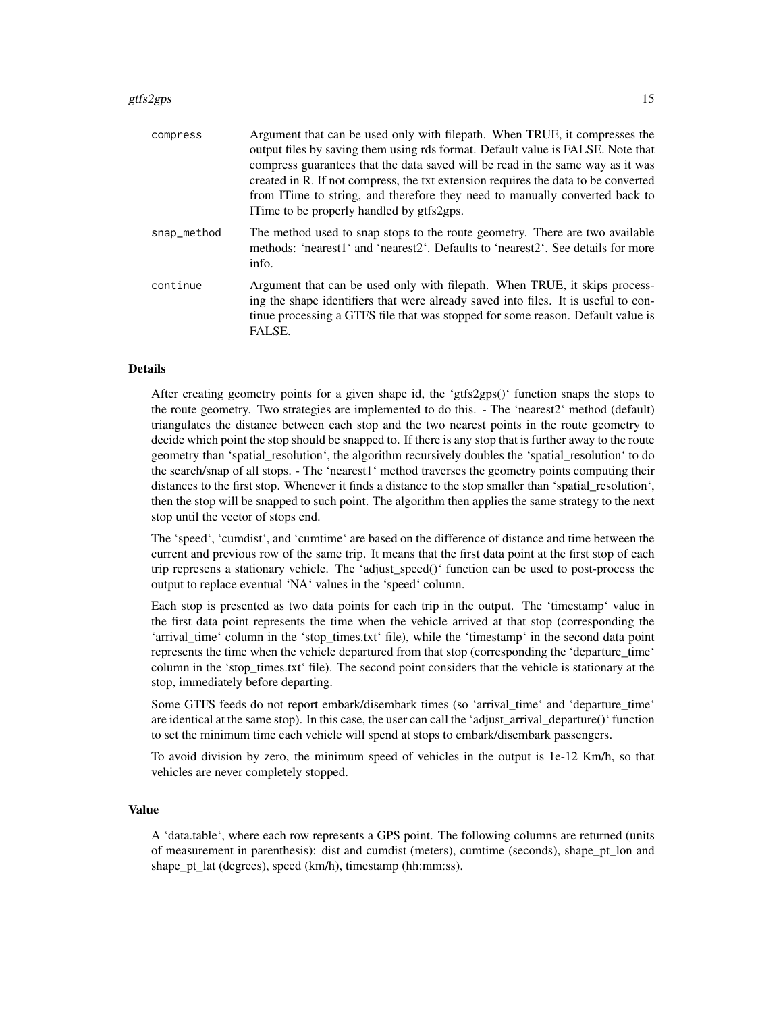#### gtfs2gps 15

| compress    | Argument that can be used only with filepath. When TRUE, it compresses the<br>output files by saving them using rds format. Default value is FALSE. Note that<br>compress guarantees that the data saved will be read in the same way as it was<br>created in R. If not compress, the txt extension requires the data to be converted<br>from ITime to string, and therefore they need to manually converted back to<br>I Time to be properly handled by gtfs2gps. |
|-------------|--------------------------------------------------------------------------------------------------------------------------------------------------------------------------------------------------------------------------------------------------------------------------------------------------------------------------------------------------------------------------------------------------------------------------------------------------------------------|
| snap_method | The method used to snap stops to the route geometry. There are two available<br>methods: 'nearest1' and 'nearest2'. Defaults to 'nearest2'. See details for more<br>info.                                                                                                                                                                                                                                                                                          |
| continue    | Argument that can be used only with filepath. When TRUE, it skips process-<br>ing the shape identifiers that were already saved into files. It is useful to con-<br>tinue processing a GTFS file that was stopped for some reason. Default value is<br>FALSE.                                                                                                                                                                                                      |

#### Details

After creating geometry points for a given shape id, the 'gtfs2gps()' function snaps the stops to the route geometry. Two strategies are implemented to do this. - The 'nearest2' method (default) triangulates the distance between each stop and the two nearest points in the route geometry to decide which point the stop should be snapped to. If there is any stop that is further away to the route geometry than 'spatial\_resolution', the algorithm recursively doubles the 'spatial\_resolution' to do the search/snap of all stops. - The 'nearest1' method traverses the geometry points computing their distances to the first stop. Whenever it finds a distance to the stop smaller than 'spatial\_resolution', then the stop will be snapped to such point. The algorithm then applies the same strategy to the next stop until the vector of stops end.

The 'speed', 'cumdist', and 'cumtime' are based on the difference of distance and time between the current and previous row of the same trip. It means that the first data point at the first stop of each trip represens a stationary vehicle. The 'adjust\_speed()' function can be used to post-process the output to replace eventual 'NA' values in the 'speed' column.

Each stop is presented as two data points for each trip in the output. The 'timestamp' value in the first data point represents the time when the vehicle arrived at that stop (corresponding the 'arrival\_time' column in the 'stop\_times.txt' file), while the 'timestamp' in the second data point represents the time when the vehicle departured from that stop (corresponding the 'departure time' column in the 'stop\_times.txt' file). The second point considers that the vehicle is stationary at the stop, immediately before departing.

Some GTFS feeds do not report embark/disembark times (so 'arrival\_time' and 'departure\_time' are identical at the same stop). In this case, the user can call the 'adjust\_arrival\_departure()' function to set the minimum time each vehicle will spend at stops to embark/disembark passengers.

To avoid division by zero, the minimum speed of vehicles in the output is 1e-12 Km/h, so that vehicles are never completely stopped.

#### Value

A 'data.table', where each row represents a GPS point. The following columns are returned (units of measurement in parenthesis): dist and cumdist (meters), cumtime (seconds), shape\_pt\_lon and shape\_pt\_lat (degrees), speed (km/h), timestamp (hh:mm:ss).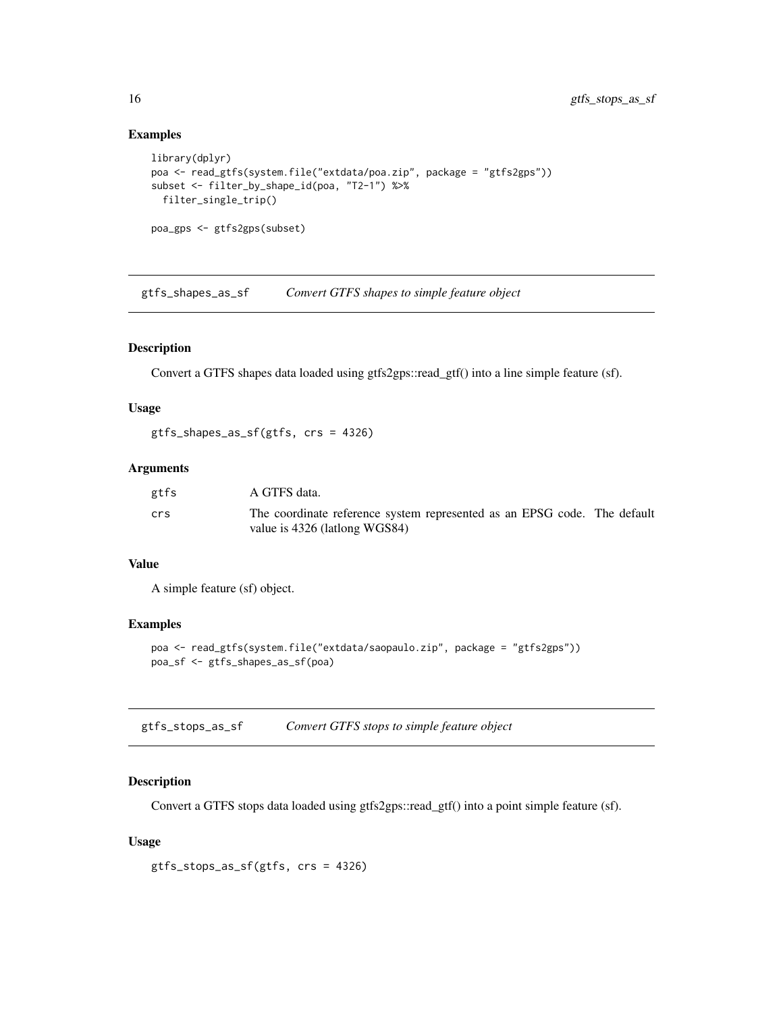#### Examples

```
library(dplyr)
poa <- read_gtfs(system.file("extdata/poa.zip", package = "gtfs2gps"))
subset <- filter_by_shape_id(poa, "T2-1") %>%
 filter_single_trip()
poa_gps <- gtfs2gps(subset)
```
gtfs\_shapes\_as\_sf *Convert GTFS shapes to simple feature object*

## Description

Convert a GTFS shapes data loaded using gtfs2gps::read\_gtf() into a line simple feature (sf).

#### Usage

gtfs\_shapes\_as\_sf(gtfs, crs = 4326)

#### Arguments

| gtfs | A GTFS data.                                                                                              |  |
|------|-----------------------------------------------------------------------------------------------------------|--|
| crs  | The coordinate reference system represented as an EPSG code. The default<br>value is 4326 (lationg WGS84) |  |

## Value

A simple feature (sf) object.

#### Examples

```
poa <- read_gtfs(system.file("extdata/saopaulo.zip", package = "gtfs2gps"))
poa_sf <- gtfs_shapes_as_sf(poa)
```

|  | gtfs_stops_as_sf |  | Convert GTFS stops to simple feature object |  |  |
|--|------------------|--|---------------------------------------------|--|--|
|--|------------------|--|---------------------------------------------|--|--|

## Description

Convert a GTFS stops data loaded using gtfs2gps::read\_gtf() into a point simple feature (sf).

## Usage

gtfs\_stops\_as\_sf(gtfs, crs = 4326)

<span id="page-15-0"></span>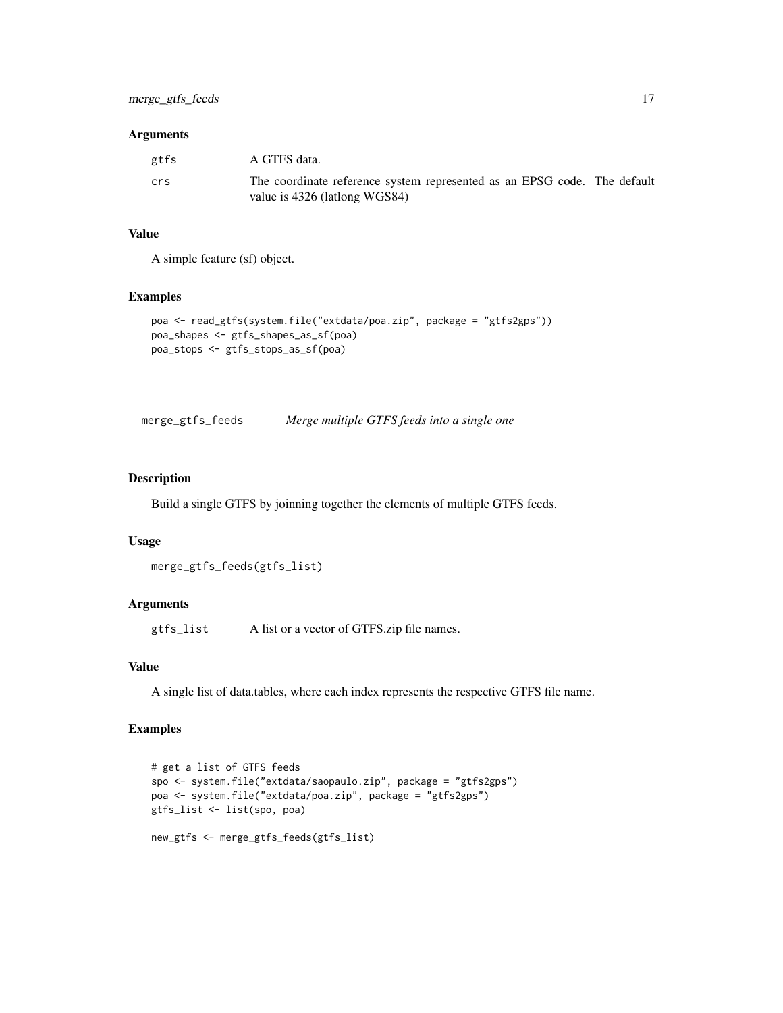#### <span id="page-16-0"></span>Arguments

| gtfs | A GTFS data.                                                                                              |
|------|-----------------------------------------------------------------------------------------------------------|
| crs  | The coordinate reference system represented as an EPSG code. The default<br>value is 4326 (lationg WGS84) |

## Value

A simple feature (sf) object.

#### Examples

```
poa <- read_gtfs(system.file("extdata/poa.zip", package = "gtfs2gps"))
poa_shapes <- gtfs_shapes_as_sf(poa)
poa_stops <- gtfs_stops_as_sf(poa)
```
merge\_gtfs\_feeds *Merge multiple GTFS feeds into a single one*

## Description

Build a single GTFS by joinning together the elements of multiple GTFS feeds.

## Usage

```
merge_gtfs_feeds(gtfs_list)
```
## Arguments

gtfs\_list A list or a vector of GTFS.zip file names.

## Value

A single list of data.tables, where each index represents the respective GTFS file name.

```
# get a list of GTFS feeds
spo <- system.file("extdata/saopaulo.zip", package = "gtfs2gps")
poa <- system.file("extdata/poa.zip", package = "gtfs2gps")
gtfs_list <- list(spo, poa)
new_gtfs <- merge_gtfs_feeds(gtfs_list)
```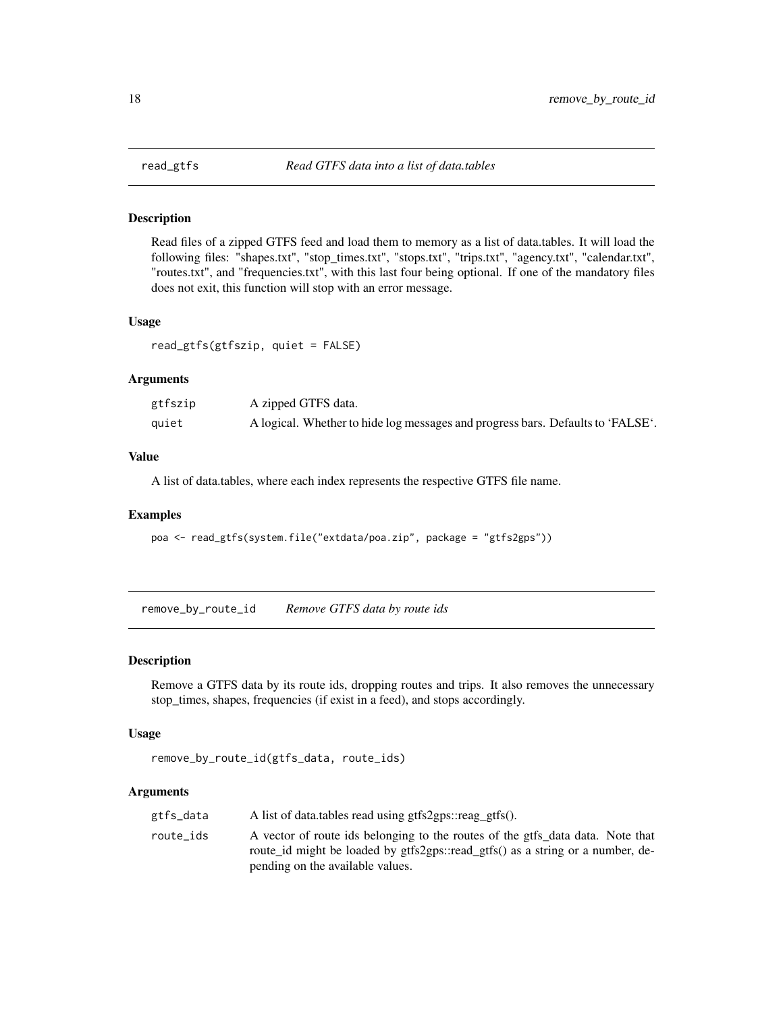<span id="page-17-1"></span><span id="page-17-0"></span>

#### Description

Read files of a zipped GTFS feed and load them to memory as a list of data.tables. It will load the following files: "shapes.txt", "stop\_times.txt", "stops.txt", "trips.txt", "agency.txt", "calendar.txt", "routes.txt", and "frequencies.txt", with this last four being optional. If one of the mandatory files does not exit, this function will stop with an error message.

#### Usage

read\_gtfs(gtfszip, quiet = FALSE)

#### Arguments

| gtfszip | A zipped GTFS data.                                                             |
|---------|---------------------------------------------------------------------------------|
| quiet   | A logical. Whether to hide log messages and progress bars. Defaults to 'FALSE'. |

## Value

A list of data.tables, where each index represents the respective GTFS file name.

#### Examples

```
poa <- read_gtfs(system.file("extdata/poa.zip", package = "gtfs2gps"))
```
remove\_by\_route\_id *Remove GTFS data by route ids*

#### Description

Remove a GTFS data by its route ids, dropping routes and trips. It also removes the unnecessary stop\_times, shapes, frequencies (if exist in a feed), and stops accordingly.

#### Usage

```
remove_by_route_id(gtfs_data, route_ids)
```

| gtfs_data | A list of data.tables read using gtfs2gps::reag_gtfs().                        |
|-----------|--------------------------------------------------------------------------------|
| route ids | A vector of route ids belonging to the routes of the gtfs data data. Note that |
|           | route id might be loaded by gtfs2gps::read gtfs() as a string or a number, de- |
|           | pending on the available values.                                               |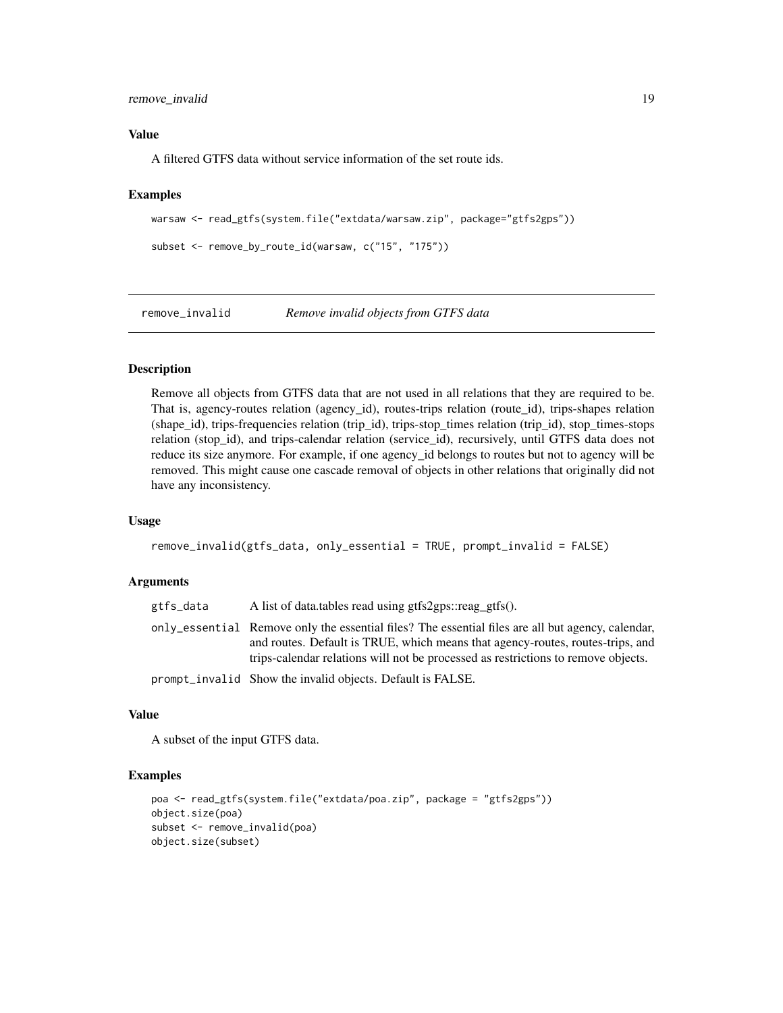## <span id="page-18-0"></span>remove\_invalid 19

## Value

A filtered GTFS data without service information of the set route ids.

#### Examples

```
warsaw <- read_gtfs(system.file("extdata/warsaw.zip", package="gtfs2gps"))
```

```
subset <- remove_by_route_id(warsaw, c("15", "175"))
```
remove\_invalid *Remove invalid objects from GTFS data*

#### Description

Remove all objects from GTFS data that are not used in all relations that they are required to be. That is, agency-routes relation (agency\_id), routes-trips relation (route\_id), trips-shapes relation (shape\_id), trips-frequencies relation (trip\_id), trips-stop\_times relation (trip\_id), stop\_times-stops relation (stop\_id), and trips-calendar relation (service\_id), recursively, until GTFS data does not reduce its size anymore. For example, if one agency\_id belongs to routes but not to agency will be removed. This might cause one cascade removal of objects in other relations that originally did not have any inconsistency.

## Usage

```
remove_invalid(gtfs_data, only_essential = TRUE, prompt_invalid = FALSE)
```
#### Arguments

| gtfs_data | A list of data.tables read using gtfs2gps::reag_gtfs().                                                                                                                                                                                                                  |
|-----------|--------------------------------------------------------------------------------------------------------------------------------------------------------------------------------------------------------------------------------------------------------------------------|
|           | only_essential Remove only the essential files? The essential files are all but agency, calendar,<br>and routes. Default is TRUE, which means that agency-routes, routes-trips, and<br>trips-calendar relations will not be processed as restrictions to remove objects. |
|           | prompt_invalid Show the invalid objects. Default is FALSE.                                                                                                                                                                                                               |

#### Value

A subset of the input GTFS data.

```
poa <- read_gtfs(system.file("extdata/poa.zip", package = "gtfs2gps"))
object.size(poa)
subset <- remove_invalid(poa)
object.size(subset)
```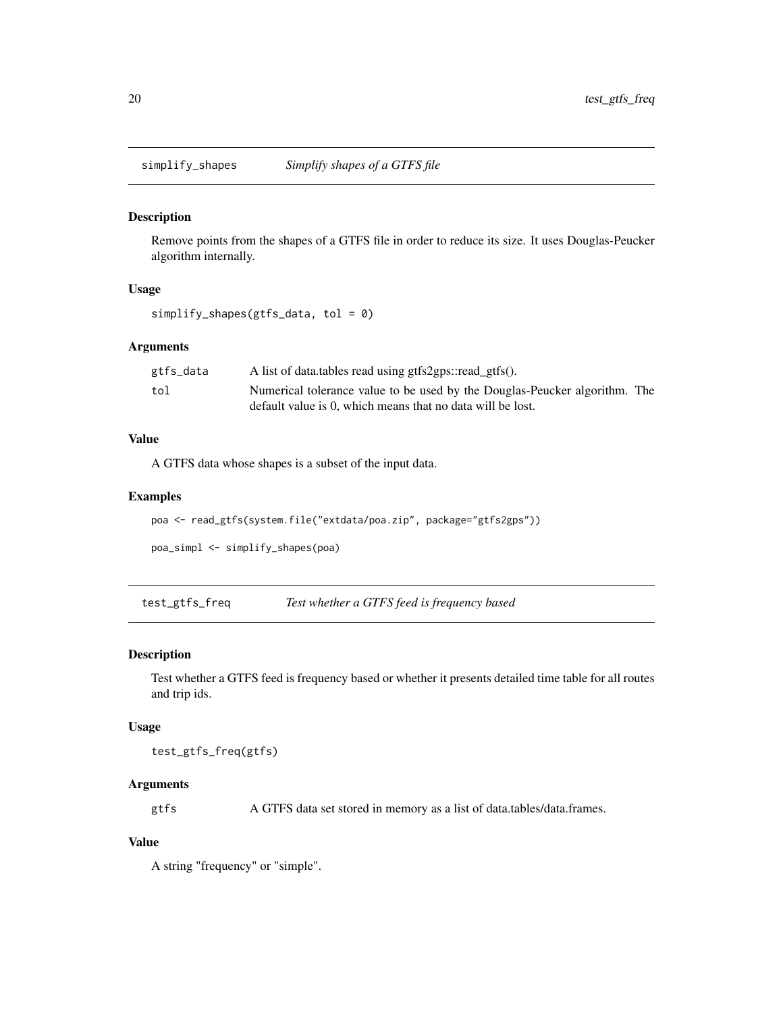<span id="page-19-0"></span>

#### Description

Remove points from the shapes of a GTFS file in order to reduce its size. It uses Douglas-Peucker algorithm internally.

#### Usage

```
simplify_shapes(gtfs_data, tol = 0)
```
## Arguments

| gtfs_data | A list of data.tables read using gtfs2gps::read_gtfs().                    |  |
|-----------|----------------------------------------------------------------------------|--|
| tol       | Numerical tolerance value to be used by the Douglas-Peucker algorithm. The |  |
|           | default value is 0, which means that no data will be lost.                 |  |

#### Value

A GTFS data whose shapes is a subset of the input data.

#### Examples

```
poa <- read_gtfs(system.file("extdata/poa.zip", package="gtfs2gps"))
```

```
poa_simpl <- simplify_shapes(poa)
```
test\_gtfs\_freq *Test whether a GTFS feed is frequency based*

## Description

Test whether a GTFS feed is frequency based or whether it presents detailed time table for all routes and trip ids.

### Usage

test\_gtfs\_freq(gtfs)

## Arguments

gtfs A GTFS data set stored in memory as a list of data.tables/data.frames.

## Value

A string "frequency" or "simple".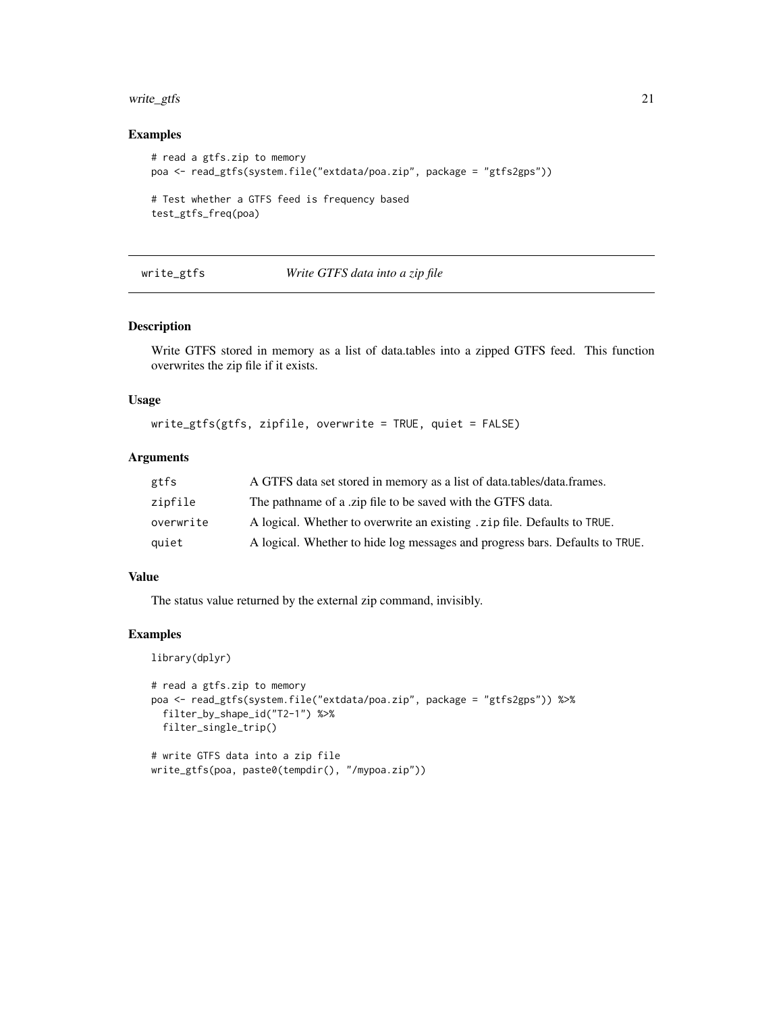#### <span id="page-20-0"></span>write\_gtfs 21

## Examples

```
# read a gtfs.zip to memory
poa <- read_gtfs(system.file("extdata/poa.zip", package = "gtfs2gps"))
# Test whether a GTFS feed is frequency based
test_gtfs_freq(poa)
```
## write\_gtfs *Write GTFS data into a zip file*

#### Description

Write GTFS stored in memory as a list of data.tables into a zipped GTFS feed. This function overwrites the zip file if it exists.

## Usage

write\_gtfs(gtfs, zipfile, overwrite = TRUE, quiet = FALSE)

## Arguments

| gtfs      | A GTFS data set stored in memory as a list of data.tables/data.frames.       |
|-----------|------------------------------------------------------------------------------|
| zipfile   | The pathname of a .zip file to be saved with the GTFS data.                  |
| overwrite | A logical. Whether to overwrite an existing . zip file. Defaults to TRUE.    |
| quiet     | A logical. Whether to hide log messages and progress bars. Defaults to TRUE. |

#### Value

The status value returned by the external zip command, invisibly.

```
library(dplyr)
```

```
# read a gtfs.zip to memory
poa <- read_gtfs(system.file("extdata/poa.zip", package = "gtfs2gps")) %>%
  filter_by_shape_id("T2-1") %>%
  filter_single_trip()
# write GTFS data into a zip file
write_gtfs(poa, paste0(tempdir(), "/mypoa.zip"))
```